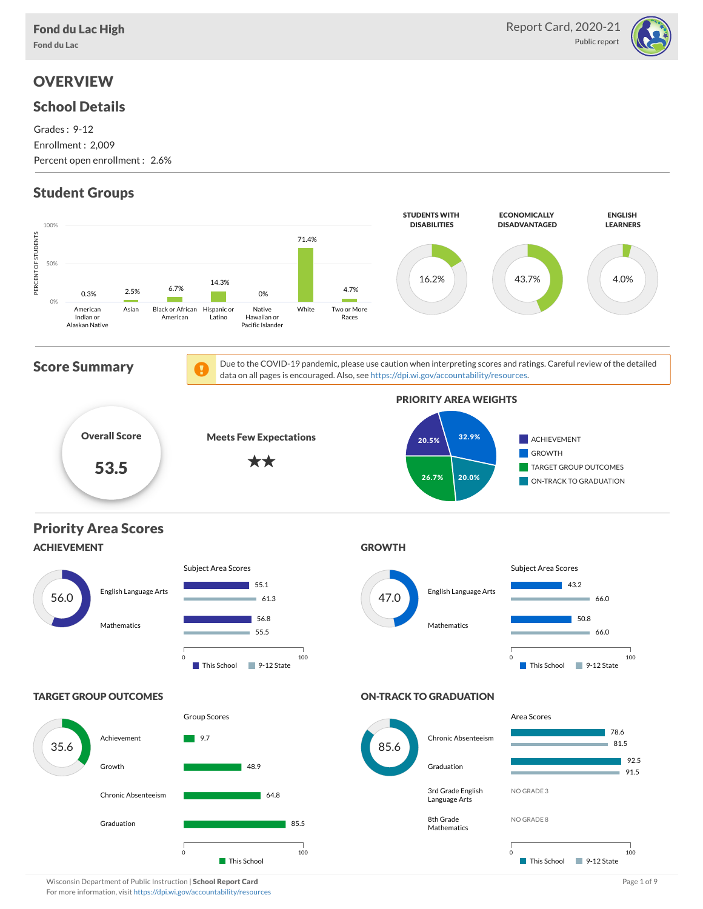

# **OVERVIEW**

### School Details

Grades : 9-12 Enrollment : 2,009 Percent open enrollment : 2.6%

## Student Groups



Wisconsin Department of Public Instruction | School Report Card Page 1 of 9 and Page 1 of 9 and Page 1 of 9 and Page 1 of 9 and Page 1 of 9 and Page 1 of 9 and Page 1 of 9 and Page 1 of 9 and Page 1 of 9 and Page 1 of 9 an For more information, visit <https://dpi.wi.gov/accountability/resources>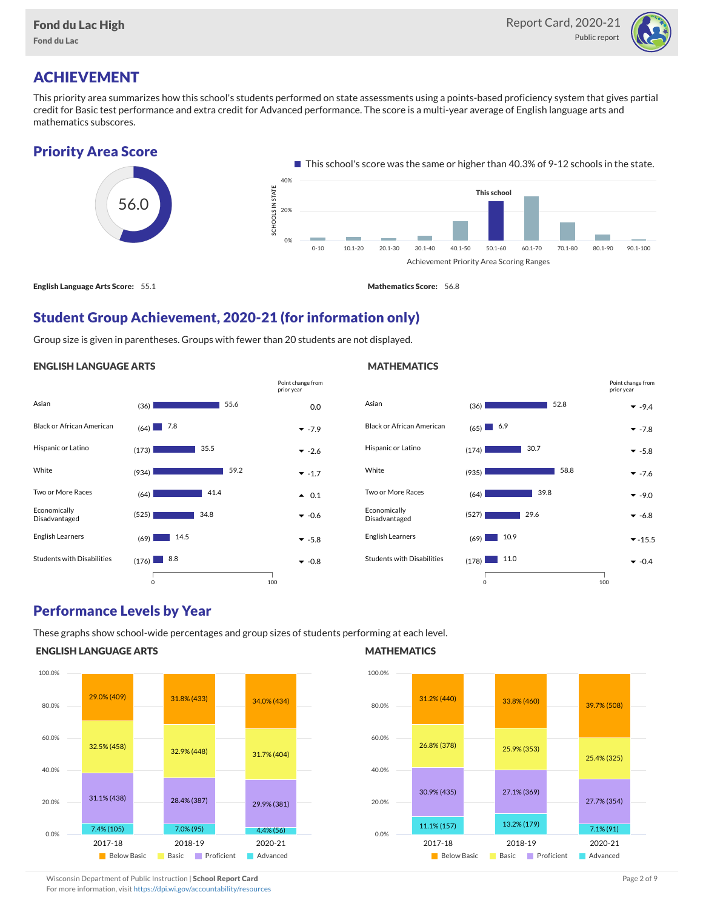

# ACHIEVEMENT

This priority area summarizes how this school's students performed on state assessments using a points-based proficiency system that gives partial credit for Basic test performance and extra credit for Advanced performance. The score is a multi-year average of English language arts and mathematics subscores.

### Priority Area Score



### Student Group Achievement, 2020-21 (for information only)

Group size is given in parentheses. Groups with fewer than 20 students are not displayed.

#### ENGLISH LANGUAGE ARTS

|                                   |               | Point change from<br>prior year |
|-----------------------------------|---------------|---------------------------------|
| Asian                             | 55.6<br>(36)  | 0.0                             |
| <b>Black or African American</b>  | 7.8<br>(64)   | $-7.9$                          |
| Hispanic or Latino                | 35.5<br>(173) | $-2.6$                          |
| White                             | 59.2<br>(934) | $-1.7$                          |
| Two or More Races                 | 41.4<br>(64)  | $\blacktriangle$ 0.1            |
| Economically<br>Disadvantaged     | (525)<br>34.8 | $-0.6$                          |
| English Learners                  | 14.5<br>(69)  | $-5.8$                          |
| <b>Students with Disabilities</b> | 8.8<br>(176)  | $-0.8$                          |
|                                   | $\circ$       | 100                             |

#### Asian (36) -9.4 Black or African American  $(65)$  6.9 6.9  $\bullet$  -7.8 Hispanic or Latino (174) -5.8 30.7 White  $(935)$   $58.8$   $\bullet$  -7.6 Two or More Races (64) -9.0 Economically Disadvantaged  $(527)$  29.6  $\bullet$  -6.8 English Learners  $(69)$   $10.9$ Students with Disabilities  $(178)$  11.0  $\bullet$  -0.4  $52.8$  $(65)$  6.9 58.8 39.8 29.6 0 100 Point change from prior year

### Performance Levels by Year

These graphs show school-wide percentages and group sizes of students performing at each level.

#### ENGLISH LANGUAGE ARTS



### **MATHEMATICS**

**MATHEMATICS** 



Wisconsin Department of Public Instruction | School Report Card Page 2 of 9 and 2 of 9 and 2 of 9 and 2 of 9 and 2 of 9 and 2 of 9 and 2 of 9 and 2 of 9 and 2 of 9 and 2 of 9 and 2 of 9 and 2 of 9 and 2 of 9 and 2 of 9 and

For more information, visit <https://dpi.wi.gov/accountability/resources>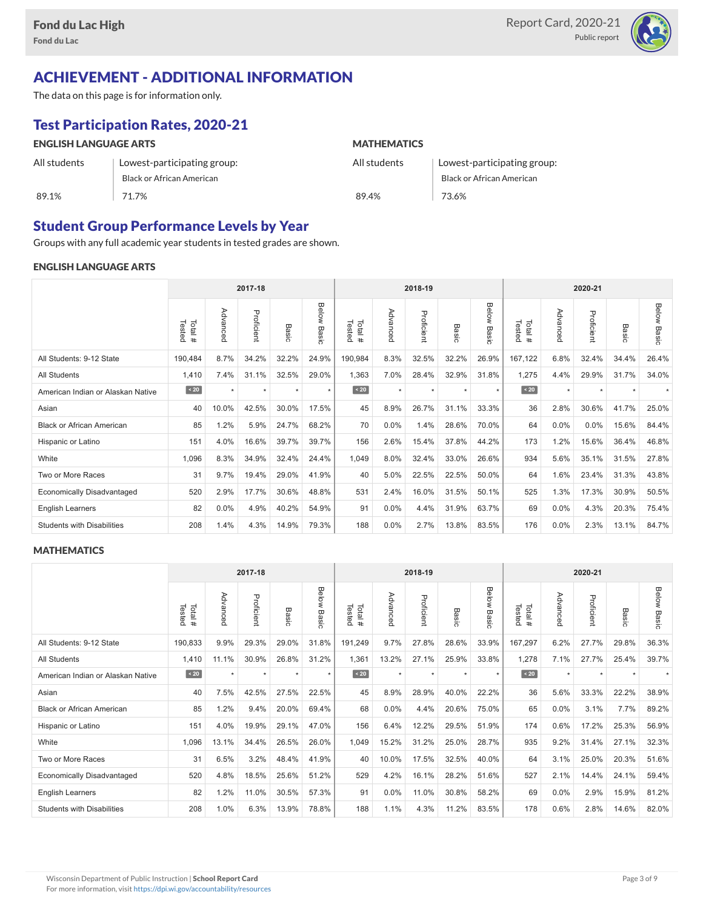

# ACHIEVEMENT - ADDITIONAL INFORMATION

The data on this page is for information only.

# Test Participation Rates, 2020-21

| <b>ENGLISH LANGUAGE ARTS</b> |                             | <b>MATHEMATICS</b>                          |                           |  |  |  |  |
|------------------------------|-----------------------------|---------------------------------------------|---------------------------|--|--|--|--|
| All students                 | Lowest-participating group: | All students<br>Lowest-participating group: |                           |  |  |  |  |
|                              | Black or African American   |                                             | Black or African American |  |  |  |  |
| 89.1%                        | 71.7%                       | 89.4%                                       | 73.6%                     |  |  |  |  |

### Student Group Performance Levels by Year

Groups with any full academic year students in tested grades are shown.

### ENGLISH LANGUAGE ARTS

|                                   |                  | 2017-18  |            |       |                |                   |          | 2018-19    |                 |                | 2020-21          |          |            |       |                    |
|-----------------------------------|------------------|----------|------------|-------|----------------|-------------------|----------|------------|-----------------|----------------|------------------|----------|------------|-------|--------------------|
|                                   | Tested<br>Total# | Advanced | Proficient | Basic | Below<br>Basic | Tested<br>Total # | Advanced | Proficient | Basi<br>$\circ$ | Below<br>Basic | Tested<br>Total# | Advanced | Proficient | Basic | <b>Below Basic</b> |
| All Students: 9-12 State          | 190,484          | 8.7%     | 34.2%      | 32.2% | 24.9%          | 190,984           | 8.3%     | 32.5%      | 32.2%           | 26.9%          | 167,122          | 6.8%     | 32.4%      | 34.4% | 26.4%              |
| <b>All Students</b>               | 1,410            | 7.4%     | 31.1%      | 32.5% | 29.0%          | 1,363             | 7.0%     | 28.4%      | 32.9%           | 31.8%          | 1,275            | 4.4%     | 29.9%      | 31.7% | 34.0%              |
| American Indian or Alaskan Native | $\angle 20$      | $\star$  | $\star$    | ٠     | $\star$        | $\angle 20$       | $\star$  | $\star$    | $\star$         | $\star$        | $\angle 20$      | $\star$  | $\star$    |       |                    |
| Asian                             | 40               | 10.0%    | 42.5%      | 30.0% | 17.5%          | 45                | 8.9%     | 26.7%      | 31.1%           | 33.3%          | 36               | 2.8%     | 30.6%      | 41.7% | 25.0%              |
| <b>Black or African American</b>  | 85               | 1.2%     | 5.9%       | 24.7% | 68.2%          | 70                | 0.0%     | 1.4%       | 28.6%           | 70.0%          | 64               | 0.0%     | $0.0\%$    | 15.6% | 84.4%              |
| Hispanic or Latino                | 151              | 4.0%     | 16.6%      | 39.7% | 39.7%          | 156               | 2.6%     | 15.4%      | 37.8%           | 44.2%          | 173              | 1.2%     | 15.6%      | 36.4% | 46.8%              |
| White                             | 1,096            | 8.3%     | 34.9%      | 32.4% | 24.4%          | 1,049             | 8.0%     | 32.4%      | 33.0%           | 26.6%          | 934              | 5.6%     | 35.1%      | 31.5% | 27.8%              |
| Two or More Races                 | 31               | 9.7%     | 19.4%      | 29.0% | 41.9%          | 40                | 5.0%     | 22.5%      | 22.5%           | 50.0%          | 64               | 1.6%     | 23.4%      | 31.3% | 43.8%              |
| <b>Economically Disadvantaged</b> | 520              | 2.9%     | 17.7%      | 30.6% | 48.8%          | 531               | 2.4%     | 16.0%      | 31.5%           | 50.1%          | 525              | 1.3%     | 17.3%      | 30.9% | 50.5%              |
| <b>English Learners</b>           | 82               | 0.0%     | 4.9%       | 40.2% | 54.9%          | 91                | 0.0%     | 4.4%       | 31.9%           | 63.7%          | 69               | 0.0%     | 4.3%       | 20.3% | 75.4%              |
| <b>Students with Disabilities</b> | 208              | 1.4%     | 4.3%       | 14.9% | 79.3%          | 188               | 0.0%     | 2.7%       | 13.8%           | 83.5%          | 176              | $0.0\%$  | 2.3%       | 13.1% | 84.7%              |

### **MATHEMATICS**

| 2017-18                           |                  |           |            |       |                |                  |          | 2018-19    |         |                | 2020-21          |          |            |       |                    |
|-----------------------------------|------------------|-----------|------------|-------|----------------|------------------|----------|------------|---------|----------------|------------------|----------|------------|-------|--------------------|
|                                   | Tested<br>Total# | Advanced  | Proficient | Basic | Below<br>Basic | Tested<br>Total# | Advanced | Proficient | Basic   | Below<br>Basic | Tested<br>Total# | Advanced | Proficient | Basic | <b>Below Basic</b> |
| All Students: 9-12 State          | 190,833          | 9.9%      | 29.3%      | 29.0% | 31.8%          | 191,249          | 9.7%     | 27.8%      | 28.6%   | 33.9%          | 167,297          | 6.2%     | 27.7%      | 29.8% | 36.3%              |
| <b>All Students</b>               | 1,410            | 11.1%     | 30.9%      | 26.8% | 31.2%          | 1,361            | 13.2%    | 27.1%      | 25.9%   | 33.8%          | 1,278            | 7.1%     | 27.7%      | 25.4% | 39.7%              |
| American Indian or Alaskan Native | $\overline{20}$  | $\ddot{}$ | $\star$    | ٠     | $\star$        | $\sim 20$        | $\star$  | $\star$    | $\star$ | $\star$        | $\angle 20$      | $\star$  | $\star$    |       |                    |
| Asian                             | 40               | 7.5%      | 42.5%      | 27.5% | 22.5%          | 45               | 8.9%     | 28.9%      | 40.0%   | 22.2%          | 36               | 5.6%     | 33.3%      | 22.2% | 38.9%              |
| <b>Black or African American</b>  | 85               | 1.2%      | 9.4%       | 20.0% | 69.4%          | 68               | 0.0%     | 4.4%       | 20.6%   | 75.0%          | 65               | 0.0%     | 3.1%       | 7.7%  | 89.2%              |
| Hispanic or Latino                | 151              | 4.0%      | 19.9%      | 29.1% | 47.0%          | 156              | 6.4%     | 12.2%      | 29.5%   | 51.9%          | 174              | 0.6%     | 17.2%      | 25.3% | 56.9%              |
| White                             | 1,096            | 13.1%     | 34.4%      | 26.5% | 26.0%          | 1,049            | 15.2%    | 31.2%      | 25.0%   | 28.7%          | 935              | 9.2%     | 31.4%      | 27.1% | 32.3%              |
| Two or More Races                 | 31               | 6.5%      | 3.2%       | 48.4% | 41.9%          | 40               | 10.0%    | 17.5%      | 32.5%   | 40.0%          | 64               | 3.1%     | 25.0%      | 20.3% | 51.6%              |
| <b>Economically Disadvantaged</b> | 520              | 4.8%      | 18.5%      | 25.6% | 51.2%          | 529              | 4.2%     | 16.1%      | 28.2%   | 51.6%          | 527              | 2.1%     | 14.4%      | 24.1% | 59.4%              |
| <b>English Learners</b>           | 82               | 1.2%      | 11.0%      | 30.5% | 57.3%          | 91               | 0.0%     | 11.0%      | 30.8%   | 58.2%          | 69               | 0.0%     | 2.9%       | 15.9% | 81.2%              |
| <b>Students with Disabilities</b> | 208              | 1.0%      | 6.3%       | 13.9% | 78.8%          | 188              | 1.1%     | 4.3%       | 11.2%   | 83.5%          | 178              | 0.6%     | 2.8%       | 14.6% | 82.0%              |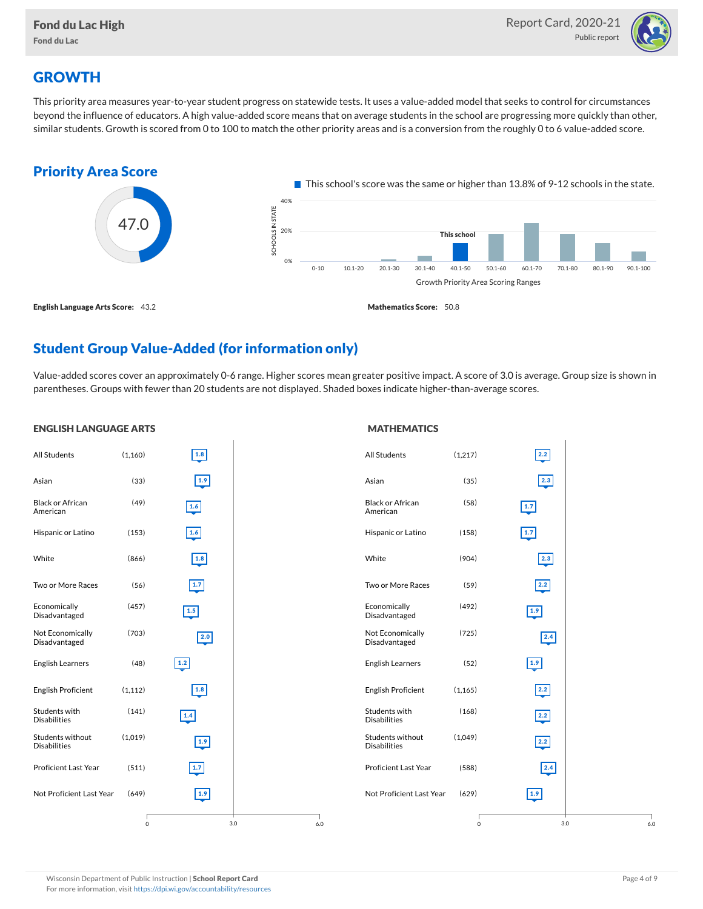

## **GROWTH**

This priority area measures year-to-year student progress on statewide tests. It uses a value-added model that seeks to control for circumstances beyond the influence of educators. A high value-added score means that on average students in the school are progressing more quickly than other, similar students. Growth is scored from 0 to 100 to match the other priority areas and is a conversion from the roughly 0 to 6 value-added score.



## Student Group Value-Added (for information only)

Value-added scores cover an approximately 0-6 range. Higher scores mean greater positive impact. A score of 3.0 is average. Group size is shown in parentheses. Groups with fewer than 20 students are not displayed. Shaded boxes indicate higher-than-average scores.

#### ENGLISH LANGUAGE ARTS

#### **MATHEMATICS**

| All Students                            | (1, 160) | 1.8                    |     | All Students                            | (1,217)  | 2.2                          |
|-----------------------------------------|----------|------------------------|-----|-----------------------------------------|----------|------------------------------|
| Asian                                   | (33)     | $\boxed{1.9}$          |     | Asian                                   | (35)     | 2.3                          |
| <b>Black or African</b><br>American     | (49)     | 1.6                    |     | <b>Black or African</b><br>American     | (58)     | $\left[\frac{1.7}{2}\right]$ |
| Hispanic or Latino                      | (153)    | 1.6                    |     | Hispanic or Latino                      | (158)    | 1.7                          |
| White                                   | (866)    | 1.8                    |     | White                                   | (904)    | 2.3                          |
| Two or More Races                       | (56)     | $\boxed{1.7}$          |     | Two or More Races                       | (59)     | $2.2$                        |
| Economically<br>Disadvantaged           | (457)    | $\boxed{1.5}$          |     | Economically<br>Disadvantaged           | (492)    | $\boxed{1.9}$                |
| Not Economically<br>Disadvantaged       | (703)    | 2.0                    |     | Not Economically<br>Disadvantaged       | (725)    | 2.4                          |
| <b>English Learners</b>                 | (48)     | $\boxed{1.2}$          |     | <b>English Learners</b>                 | (52)     | 1.9                          |
| <b>English Proficient</b>               | (1, 112) | 1.8                    |     | <b>English Proficient</b>               | (1, 165) | $2.2$                        |
| Students with<br><b>Disabilities</b>    | (141)    | $1.4$                  |     | Students with<br><b>Disabilities</b>    | (168)    | $2.2$                        |
| Students without<br><b>Disabilities</b> | (1,019)  | $\boxed{1.9}$          |     | Students without<br><b>Disabilities</b> | (1,049)  | $2.2$                        |
| Proficient Last Year                    | (511)    | $\boxed{\mathbf{1.7}}$ |     | Proficient Last Year                    | (588)    | 2.4                          |
| Not Proficient Last Year                | (649)    | 1.9                    |     | Not Proficient Last Year                | (629)    | 1.9                          |
|                                         | $\circ$  | 3.0                    | 6.0 |                                         | $\circ$  | 3.0                          |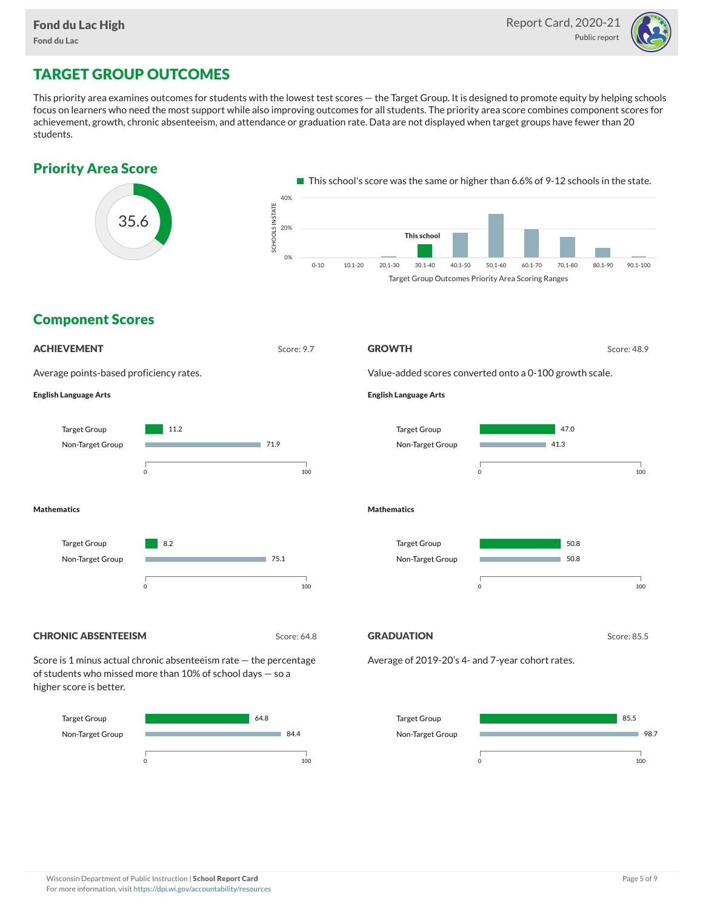

# TARGET GROUP OUTCOMES

This priority area examines outcomes for students with the lowest test scores — the Target Group. It is designed to promote equity by helping schools focus on learners who need the most support while also improving outcomes for all students. The priority area score combines component scores for achievement, growth, chronic absenteeism, and attendance or graduation rate. Data are not displayed when target groups have fewer than 20 students.



0 100

0 100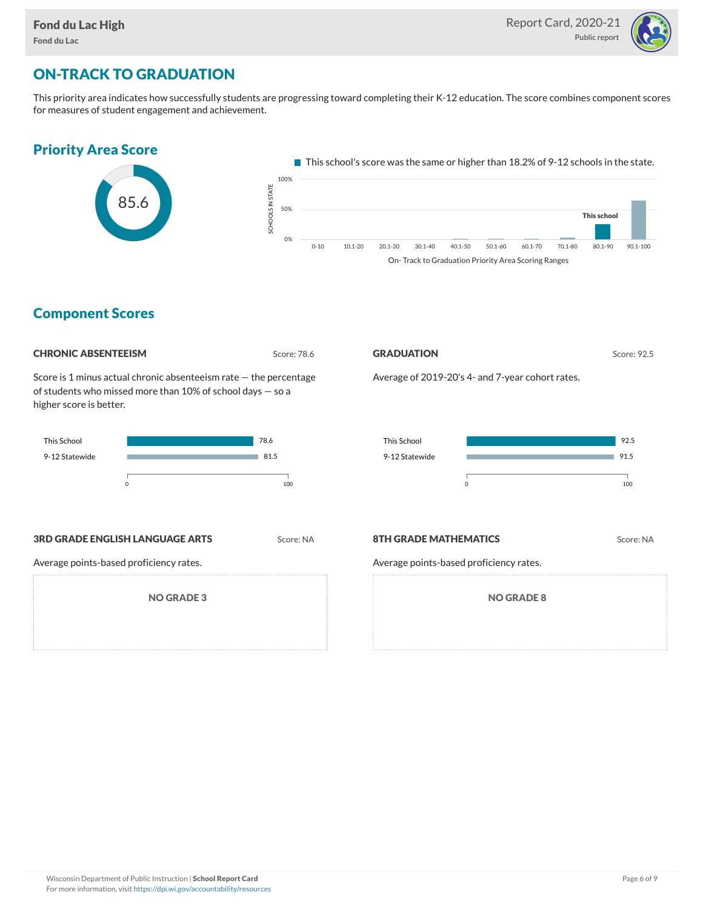

# ON-TRACK TO GRADUATION

This priority area indicates how successfully students are progressing toward completing their K-12 education. The score combines component scores for measures of student engagement and achievement.



### Component Scores

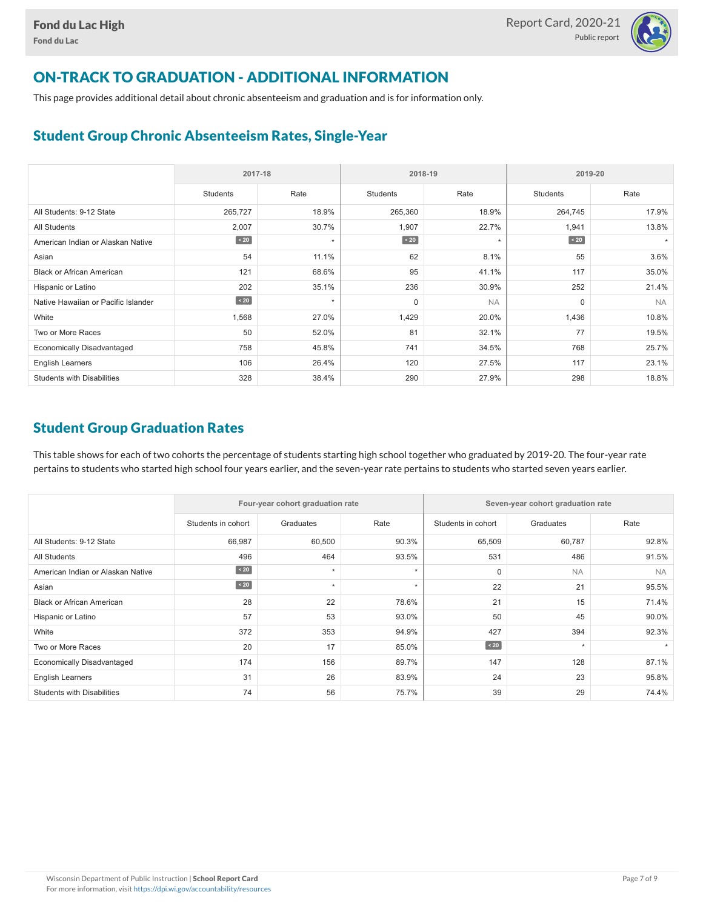

# ON-TRACK TO GRADUATION - ADDITIONAL INFORMATION

This page provides additional detail about chronic absenteeism and graduation and is for information only.

## Student Group Chronic Absenteeism Rates, Single-Year

|                                     | 2017-18   |         | 2018-19         |           | 2019-20     |           |  |  |
|-------------------------------------|-----------|---------|-----------------|-----------|-------------|-----------|--|--|
|                                     | Students  | Rate    | <b>Students</b> | Rate      | Students    | Rate      |  |  |
| All Students: 9-12 State            | 265,727   | 18.9%   | 265,360         | 18.9%     | 264,745     | 17.9%     |  |  |
| All Students                        | 2,007     | 30.7%   | 1,907           | 22.7%     | 1,941       | 13.8%     |  |  |
| American Indian or Alaskan Native   | $\sim 20$ | $\star$ | $\sim 20$       | $\star$   | $\sim 20$   |           |  |  |
| Asian                               | 54        | 11.1%   | 62              | 8.1%      | 55          | 3.6%      |  |  |
| <b>Black or African American</b>    | 121       | 68.6%   | 95              | 41.1%     | 117         | 35.0%     |  |  |
| Hispanic or Latino                  | 202       | 35.1%   | 236             | 30.9%     | 252         | 21.4%     |  |  |
| Native Hawaiian or Pacific Islander | $\sim 20$ | $\star$ | $\mathbf 0$     | <b>NA</b> | $\mathbf 0$ | <b>NA</b> |  |  |
| White                               | 1,568     | 27.0%   | 1,429           | 20.0%     | 1,436       | 10.8%     |  |  |
| Two or More Races                   | 50        | 52.0%   | 81              | 32.1%     | 77          | 19.5%     |  |  |
| <b>Economically Disadvantaged</b>   | 758       | 45.8%   | 741             | 34.5%     | 768         | 25.7%     |  |  |
| <b>English Learners</b>             | 106       | 26.4%   | 120             | 27.5%     | 117         | 23.1%     |  |  |
| <b>Students with Disabilities</b>   | 328       | 38.4%   | 290             | 27.9%     | 298         | 18.8%     |  |  |

## Student Group Graduation Rates

This table shows for each of two cohorts the percentage of students starting high school together who graduated by 2019-20. The four-year rate pertains to students who started high school four years earlier, and the seven-year rate pertains to students who started seven years earlier.

|                                   |                    | Four-year cohort graduation rate |         | Seven-year cohort graduation rate |           |           |  |  |  |
|-----------------------------------|--------------------|----------------------------------|---------|-----------------------------------|-----------|-----------|--|--|--|
|                                   | Students in cohort | Graduates                        | Rate    | Students in cohort                | Graduates | Rate      |  |  |  |
| All Students: 9-12 State          | 66,987             | 60,500                           | 90.3%   | 65,509                            | 60,787    | 92.8%     |  |  |  |
| <b>All Students</b>               | 496                | 464                              | 93.5%   | 531                               | 486       | 91.5%     |  |  |  |
| American Indian or Alaskan Native | $\sim 20$          | $\star$                          | $\star$ | 0                                 | <b>NA</b> | <b>NA</b> |  |  |  |
| Asian                             | $\angle 20$        | $\star$                          | $\star$ | 22                                | 21        | 95.5%     |  |  |  |
| <b>Black or African American</b>  | 28                 | 22                               | 78.6%   | 21                                | 15        | 71.4%     |  |  |  |
| Hispanic or Latino                | 57                 | 53                               | 93.0%   | 50                                | 45        | 90.0%     |  |  |  |
| White                             | 372                | 353                              | 94.9%   | 427                               | 394       | 92.3%     |  |  |  |
| Two or More Races                 | 20                 | 17                               | 85.0%   | $\angle 20$                       | $\star$   |           |  |  |  |
| <b>Economically Disadvantaged</b> | 174                | 156                              | 89.7%   | 147                               | 128       | 87.1%     |  |  |  |
| English Learners                  | 31                 | 26                               | 83.9%   | 24                                | 23        | 95.8%     |  |  |  |
| <b>Students with Disabilities</b> | 74                 | 56                               | 75.7%   | 39                                | 29        | 74.4%     |  |  |  |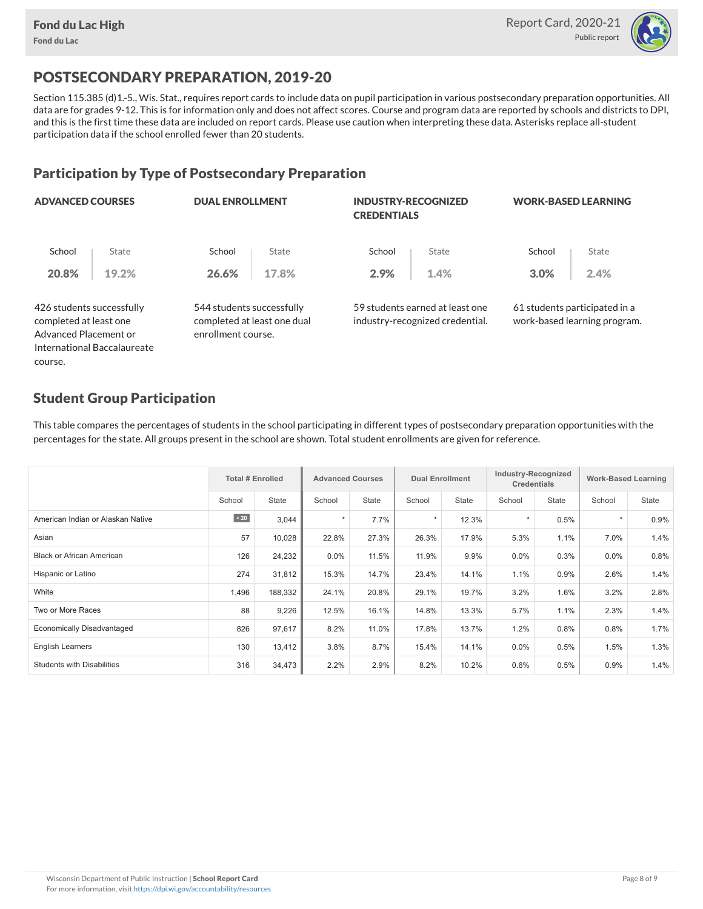

# POSTSECONDARY PREPARATION, 2019-20

Section 115.385 (d)1.-5., Wis. Stat., requires report cards to include data on pupil participation in various postsecondary preparation opportunities. All data are for grades 9-12. This is for information only and does not affect scores. Course and program data are reported by schools and districts to DPI, and this is the first time these data are included on report cards. Please use caution when interpreting these data. Asterisks replace all-student participation data if the school enrolled fewer than 20 students.

## Participation by Type of Postsecondary Preparation

| <b>ADVANCED COURSES</b>                                                      |                             | <b>DUAL ENROLLMENT</b>                          |                             | <b>INDUSTRY-RECOGNIZED</b><br><b>CREDENTIALS</b> |                                                                    | <b>WORK-BASED LEARNING</b> |                                                               |  |
|------------------------------------------------------------------------------|-----------------------------|-------------------------------------------------|-----------------------------|--------------------------------------------------|--------------------------------------------------------------------|----------------------------|---------------------------------------------------------------|--|
| School                                                                       | State                       | School                                          | State                       | School                                           | State                                                              | School                     | State                                                         |  |
| 20.8%                                                                        | 19.2%                       | 26.6%                                           | 17.8%                       | 2.9%                                             | 1.4%                                                               | 3.0%                       | 2.4%                                                          |  |
| 426 students successfully<br>completed at least one<br>Advanced Placement or |                             | 544 students successfully<br>enrollment course. | completed at least one dual |                                                  | 59 students earned at least one<br>industry-recognized credential. |                            | 61 students participated in a<br>work-based learning program. |  |
|                                                                              | International Baccalaureate |                                                 |                             |                                                  |                                                                    |                            |                                                               |  |

## Student Group Participation

course.

This table compares the percentages of students in the school participating in different types of postsecondary preparation opportunities with the percentages for the state. All groups present in the school are shown. Total student enrollments are given for reference.

|                                   | <b>Total # Enrolled</b> |              | <b>Advanced Courses</b> |              | <b>Dual Enrollment</b> |              | Industry-Recognized<br><b>Credentials</b> |              | <b>Work-Based Learning</b> |              |
|-----------------------------------|-------------------------|--------------|-------------------------|--------------|------------------------|--------------|-------------------------------------------|--------------|----------------------------|--------------|
|                                   | School                  | <b>State</b> | School                  | <b>State</b> | School                 | <b>State</b> | School                                    | <b>State</b> | School                     | <b>State</b> |
| American Indian or Alaskan Native | $\leq$ 20               | 3,044        | $\star$                 | 7.7%         | $\star$                | 12.3%        |                                           | 0.5%         | $\star$                    | 0.9%         |
| Asian                             | 57                      | 10,028       | 22.8%                   | 27.3%        | 26.3%                  | 17.9%        | 5.3%                                      | 1.1%         | 7.0%                       | 1.4%         |
| <b>Black or African American</b>  | 126                     | 24,232       | $0.0\%$                 | 11.5%        | 11.9%                  | 9.9%         | $0.0\%$                                   | 0.3%         | $0.0\%$                    | 0.8%         |
| Hispanic or Latino                | 274                     | 31,812       | 15.3%                   | 14.7%        | 23.4%                  | 14.1%        | 1.1%                                      | 0.9%         | 2.6%                       | 1.4%         |
| White                             | 1,496                   | 188,332      | 24.1%                   | 20.8%        | 29.1%                  | 19.7%        | 3.2%                                      | 1.6%         | 3.2%                       | 2.8%         |
| Two or More Races                 | 88                      | 9,226        | 12.5%                   | 16.1%        | 14.8%                  | 13.3%        | 5.7%                                      | 1.1%         | 2.3%                       | 1.4%         |
| <b>Economically Disadvantaged</b> | 826                     | 97,617       | 8.2%                    | 11.0%        | 17.8%                  | 13.7%        | 1.2%                                      | 0.8%         | 0.8%                       | 1.7%         |
| <b>English Learners</b>           | 130                     | 13,412       | 3.8%                    | 8.7%         | 15.4%                  | 14.1%        | $0.0\%$                                   | 0.5%         | 1.5%                       | 1.3%         |
| <b>Students with Disabilities</b> | 316                     | 34,473       | 2.2%                    | 2.9%         | 8.2%                   | 10.2%        | 0.6%                                      | 0.5%         | 0.9%                       | 1.4%         |